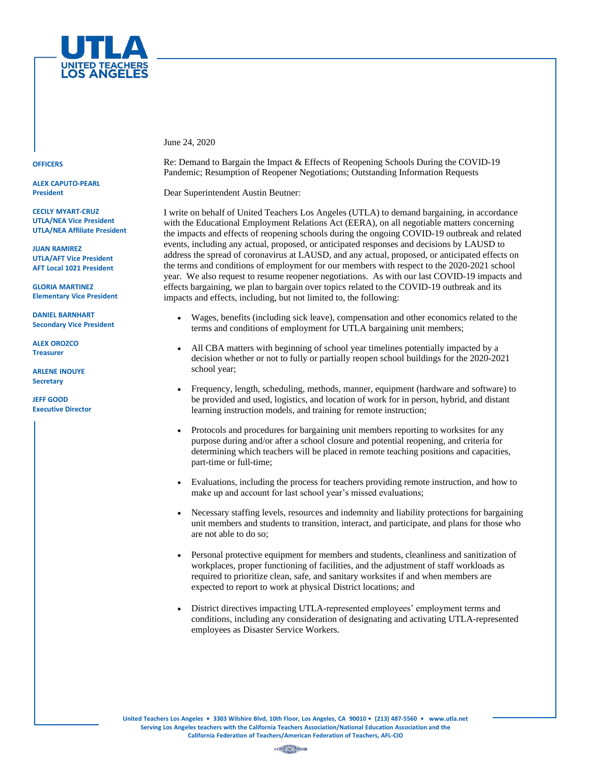

**OFFICERS**

**ALEX CAPUTO-PEARL President**

**CECILY MYART-CRUZ UTLA/NEA Vice President UTLA/NEA Affiliate President**

**JUAN RAMIREZ UTLA/AFT Vice President AFT Local 1021 President**

**GLORIA MARTINEZ Elementary Vice President**

**DANIEL BARNHART Secondary Vice President**

**ALEX OROZCO Treasurer**

**ARLENE INOUYE Secretary**

**JEFF GOOD Executive Director** June 24, 2020

Re: Demand to Bargain the Impact & Effects of Reopening Schools During the COVID-19 Pandemic; Resumption of Reopener Negotiations; Outstanding Information Requests

Dear Superintendent Austin Beutner:

I write on behalf of United Teachers Los Angeles (UTLA) to demand bargaining, in accordance with the Educational Employment Relations Act (EERA), on all negotiable matters concerning the impacts and effects of reopening schools during the ongoing COVID-19 outbreak and related events, including any actual, proposed, or anticipated responses and decisions by LAUSD to address the spread of coronavirus at LAUSD, and any actual, proposed, or anticipated effects on the terms and conditions of employment for our members with respect to the 2020-2021 school year. We also request to resume reopener negotiations. As with our last COVID-19 impacts and effects bargaining, we plan to bargain over topics related to the COVID-19 outbreak and its impacts and effects, including, but not limited to, the following:

- Wages, benefits (including sick leave), compensation and other economics related to the terms and conditions of employment for UTLA bargaining unit members;
- All CBA matters with beginning of school year timelines potentially impacted by a decision whether or not to fully or partially reopen school buildings for the 2020-2021 school year;
- Frequency, length, scheduling, methods, manner, equipment (hardware and software) to be provided and used, logistics, and location of work for in person, hybrid, and distant learning instruction models, and training for remote instruction;
- Protocols and procedures for bargaining unit members reporting to worksites for any purpose during and/or after a school closure and potential reopening, and criteria for determining which teachers will be placed in remote teaching positions and capacities, part-time or full-time;
- Evaluations, including the process for teachers providing remote instruction, and how to make up and account for last school year's missed evaluations;
- Necessary staffing levels, resources and indemnity and liability protections for bargaining unit members and students to transition, interact, and participate, and plans for those who are not able to do so;
- Personal protective equipment for members and students, cleanliness and sanitization of workplaces, proper functioning of facilities, and the adjustment of staff workloads as required to prioritize clean, safe, and sanitary worksites if and when members are expected to report to work at physical District locations; and
- District directives impacting UTLA-represented employees' employment terms and conditions, including any consideration of designating and activating UTLA-represented employees as Disaster Service Workers.